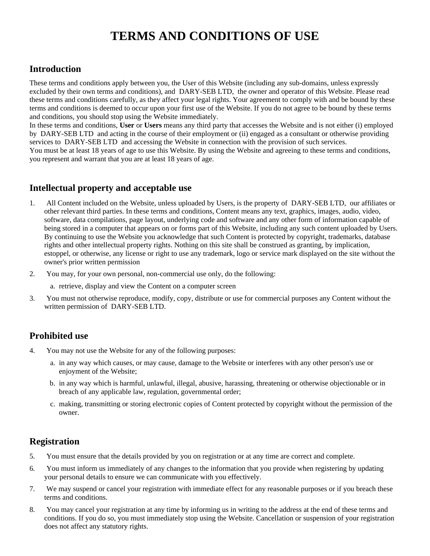# **TERMS AND CONDITIONS OF USE**

# **Introduction**

These terms and conditions apply between you, the User of this Website (including any sub-domains, unless expressly excluded by their own terms and conditions), and DARY-SEB LTD, the owner and operator of this Website. Please read these terms and conditions carefully, as they affect your legal rights. Your agreement to comply with and be bound by these terms and conditions is deemed to occur upon your first use of the Website. If you do not agree to be bound by these terms and conditions, you should stop using the Website immediately.

In these terms and conditions, **User** or **Users** means any third party that accesses the Website and is not either (i) employed by DARY-SEB LTD and acting in the course of their employment or (ii) engaged as a consultant or otherwise providing services to DARY-SEB LTD and accessing the Website in connection with the provision of such services. You must be at least 18 years of age to use this Website. By using the Website and agreeing to these terms and conditions, you represent and warrant that you are at least 18 years of age.

# **Intellectual property and acceptable use**

- 1. All Content included on the Website, unless uploaded by Users, is the property of DARY-SEB LTD, our affiliates or other relevant third parties. In these terms and conditions, Content means any text, graphics, images, audio, video, software, data compilations, page layout, underlying code and software and any other form of information capable of being stored in a computer that appears on or forms part of this Website, including any such content uploaded by Users. By continuing to use the Website you acknowledge that such Content is protected by copyright, trademarks, database rights and other intellectual property rights. Nothing on this site shall be construed as granting, by implication, estoppel, or otherwise, any license or right to use any trademark, logo or service mark displayed on the site without the owner's prior written permission
- 2. You may, for your own personal, non-commercial use only, do the following:
	- a. retrieve, display and view the Content on a computer screen
- 3. You must not otherwise reproduce, modify, copy, distribute or use for commercial purposes any Content without the written permission of DARY-SEB LTD.

# **Prohibited use**

- 4. You may not use the Website for any of the following purposes:
	- a. in any way which causes, or may cause, damage to the Website or interferes with any other person's use or enjoyment of the Website;
	- b. in any way which is harmful, unlawful, illegal, abusive, harassing, threatening or otherwise objectionable or in breach of any applicable law, regulation, governmental order;
	- c. making, transmitting or storing electronic copies of Content protected by copyright without the permission of the owner.

# **Registration**

- 5. You must ensure that the details provided by you on registration or at any time are correct and complete.
- 6. You must inform us immediately of any changes to the information that you provide when registering by updating your personal details to ensure we can communicate with you effectively.
- 7. We may suspend or cancel your registration with immediate effect for any reasonable purposes or if you breach these terms and conditions.
- 8. You may cancel your registration at any time by informing us in writing to the address at the end of these terms and conditions. If you do so, you must immediately stop using the Website. Cancellation or suspension of your registration does not affect any statutory rights.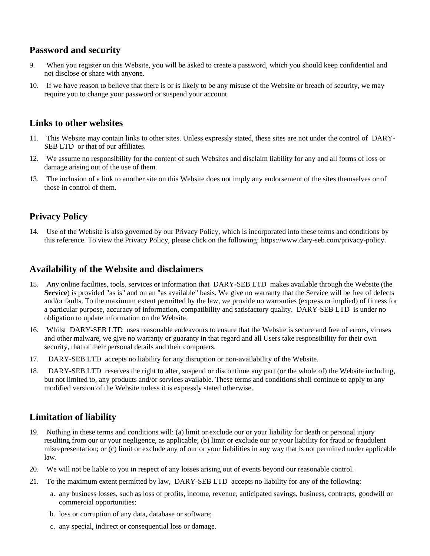#### **Password and security**

- 9. When you register on this Website, you will be asked to create a password, which you should keep confidential and not disclose or share with anyone.
- 10. If we have reason to believe that there is or is likely to be any misuse of the Website or breach of security, we may require you to change your password or suspend your account.

#### **Links to other websites**

- 11. This Website may contain links to other sites. Unless expressly stated, these sites are not under the control of DARY-SEB LTD or that of our affiliates.
- 12. We assume no responsibility for the content of such Websites and disclaim liability for any and all forms of loss or damage arising out of the use of them.
- 13. The inclusion of a link to another site on this Website does not imply any endorsement of the sites themselves or of those in control of them.

#### **Privacy Policy**

14. Use of the Website is also governed by our Privacy Policy, which is incorporated into these terms and conditions by this reference. To view the Privacy Policy, please click on the following: https://www.dary-seb.com/privacy-policy.

#### **Availability of the Website and disclaimers**

- 15. Any online facilities, tools, services or information that DARY-SEB LTD makes available through the Website (the **Service**) is provided "as is" and on an "as available" basis. We give no warranty that the Service will be free of defects and/or faults. To the maximum extent permitted by the law, we provide no warranties (express or implied) of fitness for a particular purpose, accuracy of information, compatibility and satisfactory quality. DARY-SEB LTD is under no obligation to update information on the Website.
- 16. Whilst DARY-SEB LTD uses reasonable endeavours to ensure that the Website is secure and free of errors, viruses and other malware, we give no warranty or guaranty in that regard and all Users take responsibility for their own security, that of their personal details and their computers.
- 17. DARY-SEB LTD accepts no liability for any disruption or non-availability of the Website.
- 18. DARY-SEB LTD reserves the right to alter, suspend or discontinue any part (or the whole of) the Website including, but not limited to, any products and/or services available. These terms and conditions shall continue to apply to any modified version of the Website unless it is expressly stated otherwise.

#### **Limitation of liability**

- 19. Nothing in these terms and conditions will: (a) limit or exclude our or your liability for death or personal injury resulting from our or your negligence, as applicable; (b) limit or exclude our or your liability for fraud or fraudulent misrepresentation; or (c) limit or exclude any of our or your liabilities in any way that is not permitted under applicable law.
- 20. We will not be liable to you in respect of any losses arising out of events beyond our reasonable control.
- 21. To the maximum extent permitted by law, DARY-SEB LTD accepts no liability for any of the following:
	- a. any business losses, such as loss of profits, income, revenue, anticipated savings, business, contracts, goodwill or commercial opportunities;
	- b. loss or corruption of any data, database or software;
	- c. any special, indirect or consequential loss or damage.